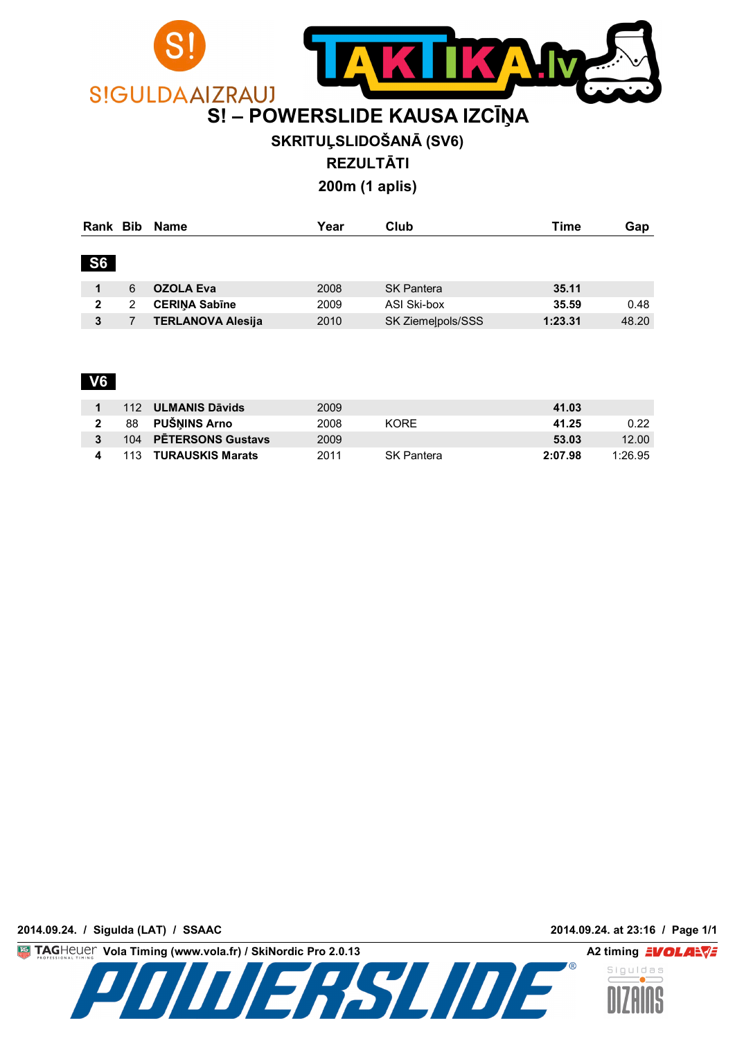

## **SKRITUĻSLIDOŠANĀ (SV6)**

**REZULTĀTI**

**200m (1 aplis)**

| Rank Bib  |   | Name                     | Year | Club              | Time    | Gap   |  |  |
|-----------|---|--------------------------|------|-------------------|---------|-------|--|--|
| <b>S6</b> |   |                          |      |                   |         |       |  |  |
|           | 6 | <b>OZOLA Eva</b>         | 2008 | <b>SK Pantera</b> | 35.11   |       |  |  |
| 2         | 2 | <b>CERINA Sabine</b>     | 2009 | ASI Ski-box       | 35.59   | 0.48  |  |  |
| 3         |   | <b>TERLANOVA Alesija</b> | 2010 | SK Ziemelpols/SSS | 1:23.31 | 48.20 |  |  |

### **V6**

|  | 112 ULMANIS Dāvids    | 2009 |                   | 41.03             |
|--|-----------------------|------|-------------------|-------------------|
|  | 88 PUŠNINS Arno       | 2008 | KORF.             | 0.22<br>41.25     |
|  | 104 PETERSONS Gustavs | 2009 |                   | 12.00<br>53.03    |
|  | 113 TURAUSKIS Marats  | 2011 | <b>SK Pantera</b> | 1.2695<br>2:07.98 |

**2014.09.24. / Sigulda (LAT) / SSAAC 2014.09.24. at 23:16 / Page 1/1**

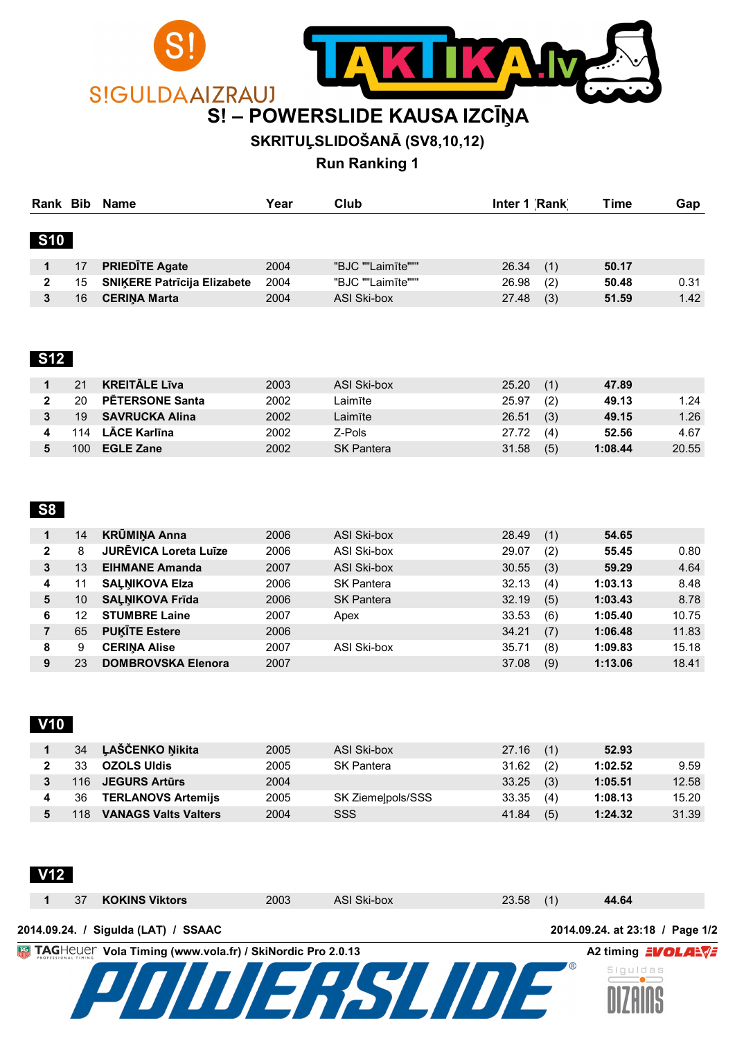

## **SKRITUĻSLIDOŠANĀ (SV8,10,12)**

**Run Ranking 1**

|              | Rank Bib<br>Name |                                    | Year | Club              | Inter 1 Rank | Time  | Gap  |
|--------------|------------------|------------------------------------|------|-------------------|--------------|-------|------|
| <b>S10</b>   |                  |                                    |      |                   |              |       |      |
|              | 17               | <b>PRIEDITE Agate</b>              | 2004 | "BJC ""Laimīte""" | 26.34<br>(1) | 50.17 |      |
| $\mathbf{2}$ | 15               | <b>SNIKERE Patricija Elizabete</b> | 2004 | "BJC ""Laimīte""" | 26.98<br>(2) | 50.48 | 0.31 |
|              | 16               | <b>CERINA Marta</b>                | 2004 | ASI Ski-box       | (3)<br>27.48 | 51.59 | 1.42 |

#### **S12**

|     | <b>KREITĀLE Līva</b>   | 2003 | ASI Ski-box       | 25.20 | (1) | 47.89   |       |
|-----|------------------------|------|-------------------|-------|-----|---------|-------|
| 20  | <b>PETERSONE Santa</b> | 2002 | Laimīte           | 25.97 | (2) | 49.13   | 1.24  |
| 19  | SAVRUCKA Alina         | 2002 | Laimīte           | 26.51 | (3) | 49.15   | 1.26  |
| 14  | <b>LĀCE Karlīna</b>    | 2002 | Z-Pols            | 27.72 | (4) | 52.56   | 4.67  |
| 100 | <b>EGLE Zane</b>       | 2002 | <b>SK Pantera</b> | 31.58 | (5) | 1:08.44 | 20.55 |

#### **S8**

| 1            | 14 | <b>KRŪMIŅA Anna</b>          | 2006 | ASI Ski-box       | 28.49 | (1) | 54.65   |       |
|--------------|----|------------------------------|------|-------------------|-------|-----|---------|-------|
| $\mathbf{2}$ | 8  | <b>JURĒVICA Loreta Luīze</b> | 2006 | ASI Ski-box       | 29.07 | (2) | 55.45   | 0.80  |
| 3            | 13 | <b>EIHMANE Amanda</b>        | 2007 | ASI Ski-box       | 30.55 | (3) | 59.29   | 4.64  |
| 4            |    | <b>SALNIKOVA Elza</b>        | 2006 | <b>SK Pantera</b> | 32.13 | (4) | 1:03.13 | 8.48  |
| 5            | 10 | <b>SALNIKOVA Frida</b>       | 2006 | <b>SK Pantera</b> | 32.19 | (5) | 1:03.43 | 8.78  |
| 6            | 12 | <b>STUMBRE Laine</b>         | 2007 | Apex              | 33.53 | (6) | 1:05.40 | 10.75 |
|              | 65 | <b>PUKITE Estere</b>         | 2006 |                   | 34.21 | (7) | 1:06.48 | 11.83 |
| 8            | 9  | <b>CERINA Alise</b>          | 2007 | ASI Ski-box       | 35.71 | (8) | 1:09.83 | 15.18 |
| 9            | 23 | DOMBROVSKA Elenora           | 2007 |                   | 37.08 | (9) | 1:13.06 | 18.41 |

### **V10**

| 34  | <b>LAŠČENKO Nikita</b>      | 2005 | ASI Ski-box       | $27.16$ (1)  | 52.93   |       |
|-----|-----------------------------|------|-------------------|--------------|---------|-------|
| 33  | <b>OZOLS UIdis</b>          | 2005 | SK Pantera        | 31.62<br>(2) | 1:02.52 | 9.59  |
|     | 116 JEGURS Artūrs           | 2004 |                   | 33.25<br>(3) | 1:05.51 | 12.58 |
| 36  | <b>TERLANOVS Artemiis</b>   | 2005 | SK Ziemelpols/SSS | 33.35<br>(4) | 1:08.13 | 15.20 |
| 118 | <b>VANAGS Valts Valters</b> | 2004 | SSS               | (5)<br>41.84 | 1:24.32 | 31.39 |

# **V12**

|                             |      |             |             | 2014.09.24. at 23:18 / Page 1/2 |
|-----------------------------|------|-------------|-------------|---------------------------------|
| 37<br><b>KOKINS Viktors</b> | 2003 | ASI Ski-box | $23.58$ (1) | 44.64                           |

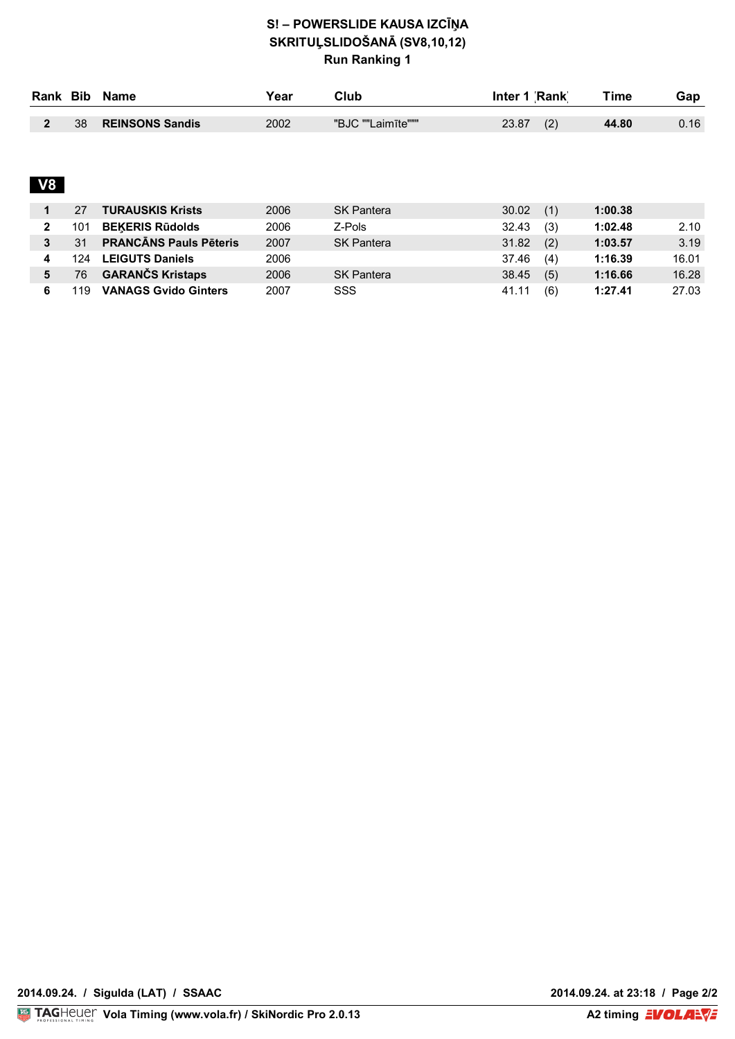#### **S! – POWERSLIDE KAUSA IZCĪŅA SKRITUĻSLIDOŠANĀ (SV8,10,12) Run Ranking 1**

| Rank Bib |    | Name                   | ∨ear | Club              | Inter 1 Rank | Time<br>Gap |      |  |
|----------|----|------------------------|------|-------------------|--------------|-------------|------|--|
|          |    | <b>REINSONS Sandis</b> |      | "BJC ""Laimīte""" |              |             |      |  |
|          | 38 |                        | 2002 |                   | (2)<br>23.87 | 44.80       | 0.16 |  |

# **V8**

|   |     | <b>TURAUSKIS Krists</b>       | 2006 | <b>SK Pantera</b> | 30.02<br>(1) | 1:00.38 |       |
|---|-----|-------------------------------|------|-------------------|--------------|---------|-------|
| 2 | 101 | <b>BEKERIS Rūdolds</b>        | 2006 | Z-Pols            | (3)<br>32.43 | 1:02.48 | 2.10  |
| 3 | 31  | <b>PRANCĀNS Pauls Pēteris</b> | 2007 | <b>SK Pantera</b> | 31.82<br>(2) | 1:03.57 | 3.19  |
|   | 124 | <b>LEIGUTS Daniels</b>        | 2006 |                   | 37.46<br>(4) | 1:16.39 | 16.01 |
| 5 | 76  | <b>GARANČS Kristaps</b>       | 2006 | <b>SK Pantera</b> | (5)<br>38.45 | 1:16.66 | 16.28 |
| 6 | 119 | <b>VANAGS Gvido Ginters</b>   | 2007 | SSS               | (6)<br>41.11 | 1:27.41 | 27.03 |

**2014.09.24. at 23:18 / Page 2/2<br>A2 timing EVOLALVE**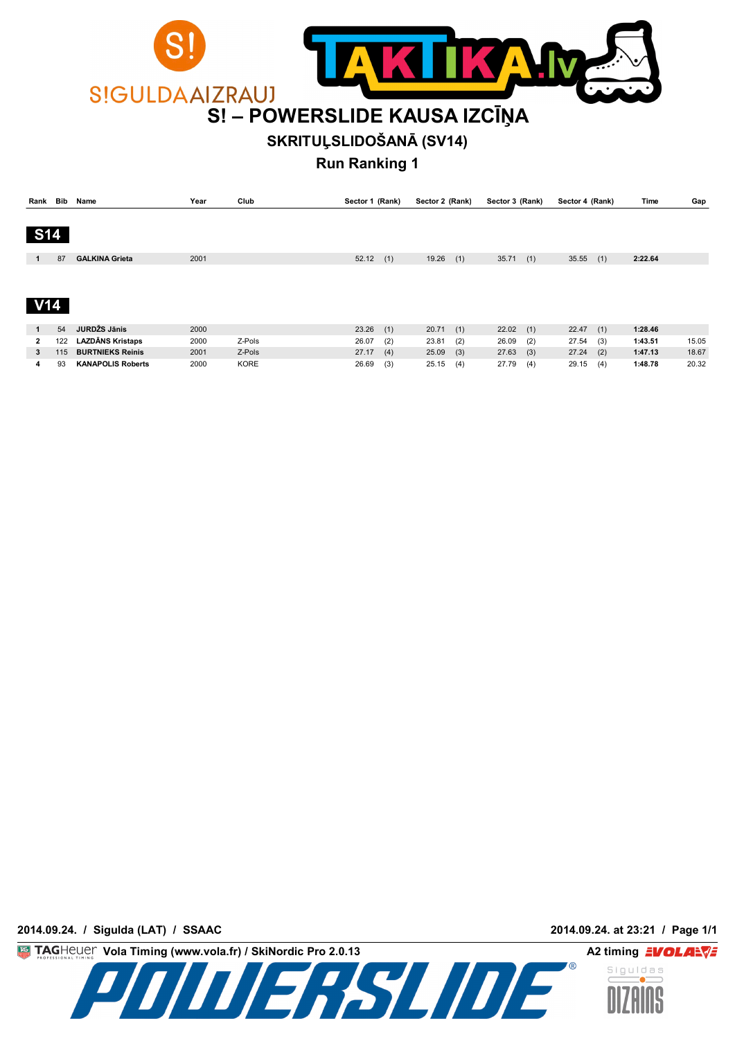

## **SKRITUĻSLIDOŠANĀ (SV14)**

**Run Ranking 1**

| Rank Bib       |     | Name                     | Year | Club   | Sector 1 (Rank) |     | Sector 2 (Rank) |     | Sector 3 (Rank) |     | Sector 4 (Rank) |     | Time    | Gap   |
|----------------|-----|--------------------------|------|--------|-----------------|-----|-----------------|-----|-----------------|-----|-----------------|-----|---------|-------|
|                |     |                          |      |        |                 |     |                 |     |                 |     |                 |     |         |       |
| <b>S14</b>     |     |                          |      |        |                 |     |                 |     |                 |     |                 |     |         |       |
|                |     |                          |      |        |                 |     |                 |     |                 |     |                 |     |         |       |
| 1              | 87  | <b>GALKINA Grieta</b>    | 2001 |        | 52.12           | (1) | 19.26           | (1) | 35.71           | (1) | 35.55           | (1) | 2:22.64 |       |
|                |     |                          |      |        |                 |     |                 |     |                 |     |                 |     |         |       |
|                |     |                          |      |        |                 |     |                 |     |                 |     |                 |     |         |       |
|                |     |                          |      |        |                 |     |                 |     |                 |     |                 |     |         |       |
| V14            |     |                          |      |        |                 |     |                 |     |                 |     |                 |     |         |       |
|                |     |                          |      |        |                 |     |                 |     |                 |     |                 |     |         |       |
| $\mathbf{1}$   | 54  | JURDŽS Jānis             | 2000 |        | $23.26$ (1)     |     | 20.71           | (1) | 22.02           | (1) | $22.47$ (1)     |     | 1:28.46 |       |
| $\overline{2}$ | 122 | <b>LAZDĀNS Kristaps</b>  | 2000 | Z-Pols | 26.07           | (2) | 23.81           | (2) | 26.09           | (2) | 27.54           | (3) | 1:43.51 | 15.05 |
| 3              | 115 | <b>BURTNIEKS Reinis</b>  | 2001 | Z-Pols | 27.17           | (4) | 25.09           | (3) | 27.63           | (3) | $27.24$ (2)     |     | 1:47.13 | 18.67 |
| 4              | 93  | <b>KANAPOLIS Roberts</b> | 2000 | KORE   | 26.69           | (3) | 25.15           | (4) | 27.79           | (4) | 29.15           | (4) | 1:48.78 | 20.32 |

**2014.09.24. / Sigulda (LAT) / SSAAC 2014.09.24. at 23:21 / Page 1/1**